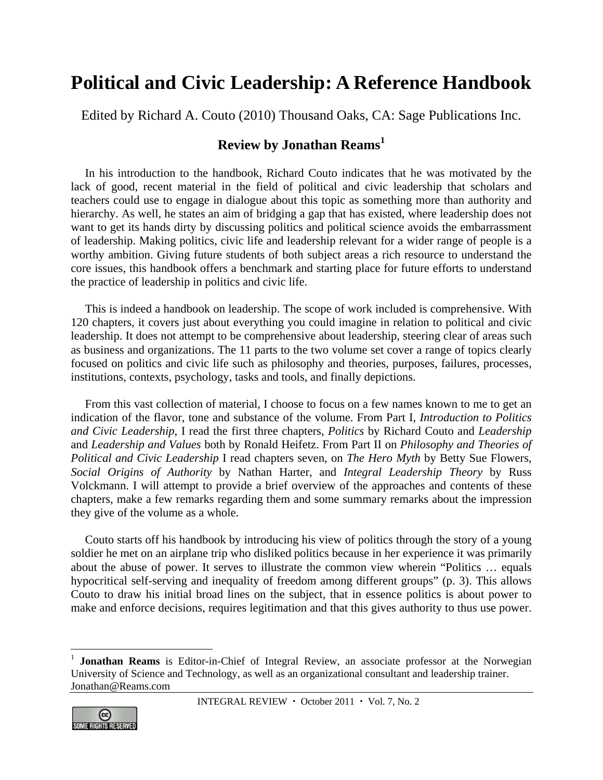## **Political and Civic Leadership: A Reference Handbook**

Edited by Richard A. Couto (2010) Thousand Oaks, CA: Sage Publications Inc.

## **Review by Jonathan Reams<sup>1</sup>**

In his introduction to the handbook, Richard Couto indicates that he was motivated by the lack of good, recent material in the field of political and civic leadership that scholars and teachers could use to engage in dialogue about this topic as something more than authority and hierarchy. As well, he states an aim of bridging a gap that has existed, where leadership does not want to get its hands dirty by discussing politics and political science avoids the embarrassment of leadership. Making politics, civic life and leadership relevant for a wider range of people is a worthy ambition. Giving future students of both subject areas a rich resource to understand the core issues, this handbook offers a benchmark and starting place for future efforts to understand the practice of leadership in politics and civic life.

This is indeed a handbook on leadership. The scope of work included is comprehensive. With 120 chapters, it covers just about everything you could imagine in relation to political and civic leadership. It does not attempt to be comprehensive about leadership, steering clear of areas such as business and organizations. The 11 parts to the two volume set cover a range of topics clearly focused on politics and civic life such as philosophy and theories, purposes, failures, processes, institutions, contexts, psychology, tasks and tools, and finally depictions.

From this vast collection of material, I choose to focus on a few names known to me to get an indication of the flavor, tone and substance of the volume. From Part I, *Introduction to Politics and Civic Leadership*, I read the first three chapters, *Politics* by Richard Couto and *Leadership* and *Leadership and Values* both by Ronald Heifetz. From Part II on *Philosophy and Theories of Political and Civic Leadership* I read chapters seven, on *The Hero Myth* by Betty Sue Flowers, *Social Origins of Authority* by Nathan Harter, and *Integral Leadership Theory* by Russ Volckmann. I will attempt to provide a brief overview of the approaches and contents of these chapters, make a few remarks regarding them and some summary remarks about the impression they give of the volume as a whole.

Couto starts off his handbook by introducing his view of politics through the story of a young soldier he met on an airplane trip who disliked politics because in her experience it was primarily about the abuse of power. It serves to illustrate the common view wherein "Politics … equals hypocritical self-serving and inequality of freedom among different groups" (p. 3). This allows Couto to draw his initial broad lines on the subject, that in essence politics is about power to make and enforce decisions, requires legitimation and that this gives authority to thus use power.

<sup>1</sup> **Jonathan Reams** is Editor-in-Chief of Integral Review, an associate professor at the Norwegian University of Science and Technology, as well as an organizational consultant and leadership trainer. Jonathan@Reams.com



 $\overline{a}$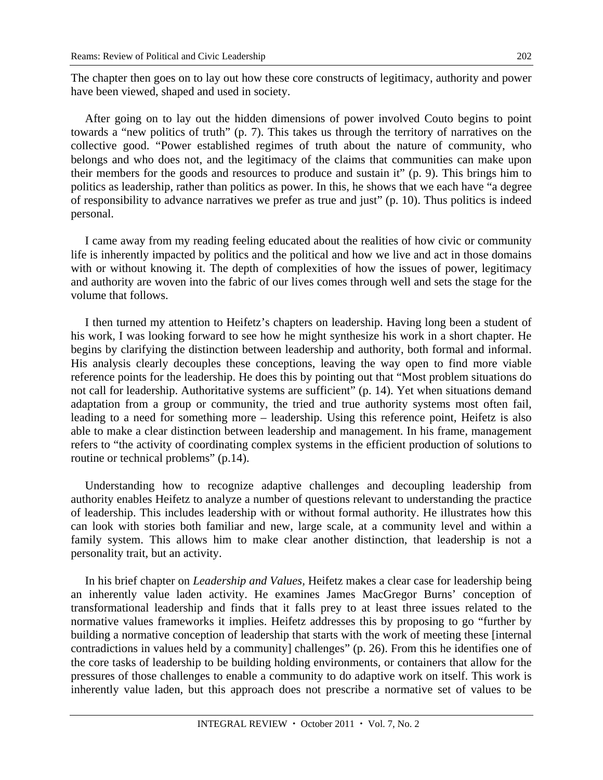The chapter then goes on to lay out how these core constructs of legitimacy, authority and power have been viewed, shaped and used in society.

After going on to lay out the hidden dimensions of power involved Couto begins to point towards a "new politics of truth" (p. 7). This takes us through the territory of narratives on the collective good. "Power established regimes of truth about the nature of community, who belongs and who does not, and the legitimacy of the claims that communities can make upon their members for the goods and resources to produce and sustain it" (p. 9). This brings him to politics as leadership, rather than politics as power. In this, he shows that we each have "a degree of responsibility to advance narratives we prefer as true and just" (p. 10). Thus politics is indeed personal.

I came away from my reading feeling educated about the realities of how civic or community life is inherently impacted by politics and the political and how we live and act in those domains with or without knowing it. The depth of complexities of how the issues of power, legitimacy and authority are woven into the fabric of our lives comes through well and sets the stage for the volume that follows.

I then turned my attention to Heifetz's chapters on leadership. Having long been a student of his work, I was looking forward to see how he might synthesize his work in a short chapter. He begins by clarifying the distinction between leadership and authority, both formal and informal. His analysis clearly decouples these conceptions, leaving the way open to find more viable reference points for the leadership. He does this by pointing out that "Most problem situations do not call for leadership. Authoritative systems are sufficient" (p. 14). Yet when situations demand adaptation from a group or community, the tried and true authority systems most often fail, leading to a need for something more – leadership. Using this reference point, Heifetz is also able to make a clear distinction between leadership and management. In his frame, management refers to "the activity of coordinating complex systems in the efficient production of solutions to routine or technical problems" (p.14).

Understanding how to recognize adaptive challenges and decoupling leadership from authority enables Heifetz to analyze a number of questions relevant to understanding the practice of leadership. This includes leadership with or without formal authority. He illustrates how this can look with stories both familiar and new, large scale, at a community level and within a family system. This allows him to make clear another distinction, that leadership is not a personality trait, but an activity.

In his brief chapter on *Leadership and Values,* Heifetz makes a clear case for leadership being an inherently value laden activity. He examines James MacGregor Burns' conception of transformational leadership and finds that it falls prey to at least three issues related to the normative values frameworks it implies. Heifetz addresses this by proposing to go "further by building a normative conception of leadership that starts with the work of meeting these [internal contradictions in values held by a community] challenges" (p. 26). From this he identifies one of the core tasks of leadership to be building holding environments, or containers that allow for the pressures of those challenges to enable a community to do adaptive work on itself. This work is inherently value laden, but this approach does not prescribe a normative set of values to be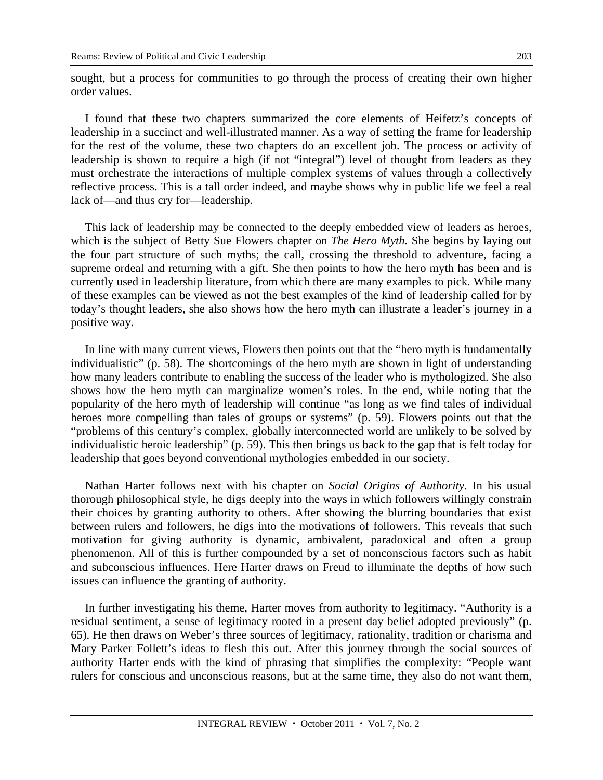sought, but a process for communities to go through the process of creating their own higher order values.

I found that these two chapters summarized the core elements of Heifetz's concepts of leadership in a succinct and well-illustrated manner. As a way of setting the frame for leadership for the rest of the volume, these two chapters do an excellent job. The process or activity of leadership is shown to require a high (if not "integral") level of thought from leaders as they must orchestrate the interactions of multiple complex systems of values through a collectively reflective process. This is a tall order indeed, and maybe shows why in public life we feel a real lack of—and thus cry for—leadership.

This lack of leadership may be connected to the deeply embedded view of leaders as heroes, which is the subject of Betty Sue Flowers chapter on *The Hero Myth.* She begins by laying out the four part structure of such myths; the call, crossing the threshold to adventure, facing a supreme ordeal and returning with a gift. She then points to how the hero myth has been and is currently used in leadership literature, from which there are many examples to pick. While many of these examples can be viewed as not the best examples of the kind of leadership called for by today's thought leaders, she also shows how the hero myth can illustrate a leader's journey in a positive way.

In line with many current views, Flowers then points out that the "hero myth is fundamentally individualistic" (p. 58). The shortcomings of the hero myth are shown in light of understanding how many leaders contribute to enabling the success of the leader who is mythologized. She also shows how the hero myth can marginalize women's roles. In the end, while noting that the popularity of the hero myth of leadership will continue "as long as we find tales of individual heroes more compelling than tales of groups or systems" (p. 59). Flowers points out that the "problems of this century's complex, globally interconnected world are unlikely to be solved by individualistic heroic leadership" (p. 59). This then brings us back to the gap that is felt today for leadership that goes beyond conventional mythologies embedded in our society.

Nathan Harter follows next with his chapter on *Social Origins of Authority*. In his usual thorough philosophical style, he digs deeply into the ways in which followers willingly constrain their choices by granting authority to others. After showing the blurring boundaries that exist between rulers and followers, he digs into the motivations of followers. This reveals that such motivation for giving authority is dynamic, ambivalent, paradoxical and often a group phenomenon. All of this is further compounded by a set of nonconscious factors such as habit and subconscious influences. Here Harter draws on Freud to illuminate the depths of how such issues can influence the granting of authority.

In further investigating his theme, Harter moves from authority to legitimacy. "Authority is a residual sentiment, a sense of legitimacy rooted in a present day belief adopted previously" (p. 65). He then draws on Weber's three sources of legitimacy, rationality, tradition or charisma and Mary Parker Follett's ideas to flesh this out. After this journey through the social sources of authority Harter ends with the kind of phrasing that simplifies the complexity: "People want rulers for conscious and unconscious reasons, but at the same time, they also do not want them,